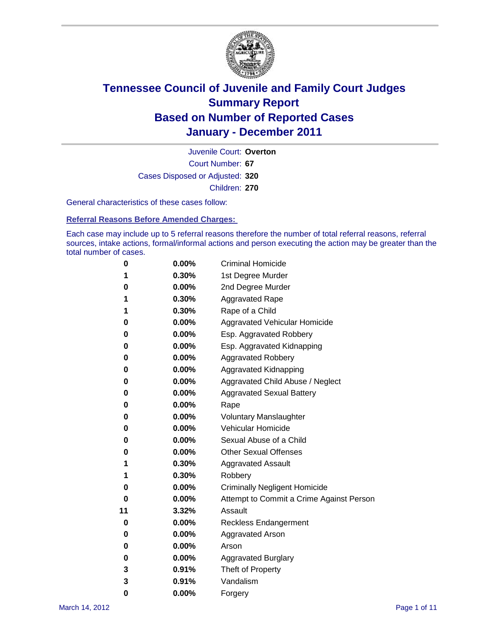

Court Number: **67** Juvenile Court: **Overton** Cases Disposed or Adjusted: **320** Children: **270**

General characteristics of these cases follow:

**Referral Reasons Before Amended Charges:** 

Each case may include up to 5 referral reasons therefore the number of total referral reasons, referral sources, intake actions, formal/informal actions and person executing the action may be greater than the total number of cases.

| 0  | 0.00%    | <b>Criminal Homicide</b>                 |  |  |  |  |
|----|----------|------------------------------------------|--|--|--|--|
| 1  | 0.30%    | 1st Degree Murder                        |  |  |  |  |
| 0  | 0.00%    | 2nd Degree Murder                        |  |  |  |  |
| 1  | 0.30%    | <b>Aggravated Rape</b>                   |  |  |  |  |
| 1  | 0.30%    | Rape of a Child                          |  |  |  |  |
| 0  | 0.00%    | Aggravated Vehicular Homicide            |  |  |  |  |
| 0  | 0.00%    | Esp. Aggravated Robbery                  |  |  |  |  |
| 0  | 0.00%    | Esp. Aggravated Kidnapping               |  |  |  |  |
| 0  | 0.00%    | <b>Aggravated Robbery</b>                |  |  |  |  |
| 0  | 0.00%    | Aggravated Kidnapping                    |  |  |  |  |
| 0  | 0.00%    | Aggravated Child Abuse / Neglect         |  |  |  |  |
| 0  | $0.00\%$ | <b>Aggravated Sexual Battery</b>         |  |  |  |  |
| 0  | 0.00%    | Rape                                     |  |  |  |  |
| 0  | 0.00%    | <b>Voluntary Manslaughter</b>            |  |  |  |  |
| 0  | 0.00%    | Vehicular Homicide                       |  |  |  |  |
| 0  | 0.00%    | Sexual Abuse of a Child                  |  |  |  |  |
| 0  | 0.00%    | <b>Other Sexual Offenses</b>             |  |  |  |  |
| 1  | 0.30%    | <b>Aggravated Assault</b>                |  |  |  |  |
| 1  | 0.30%    | Robbery                                  |  |  |  |  |
| 0  | 0.00%    | <b>Criminally Negligent Homicide</b>     |  |  |  |  |
| 0  | 0.00%    | Attempt to Commit a Crime Against Person |  |  |  |  |
| 11 | 3.32%    | Assault                                  |  |  |  |  |
| 0  | 0.00%    | <b>Reckless Endangerment</b>             |  |  |  |  |
| 0  | 0.00%    | <b>Aggravated Arson</b>                  |  |  |  |  |
| 0  | 0.00%    | Arson                                    |  |  |  |  |
| 0  | 0.00%    | <b>Aggravated Burglary</b>               |  |  |  |  |
| 3  | 0.91%    | Theft of Property                        |  |  |  |  |
| 3  | 0.91%    | Vandalism                                |  |  |  |  |
| 0  | 0.00%    | Forgery                                  |  |  |  |  |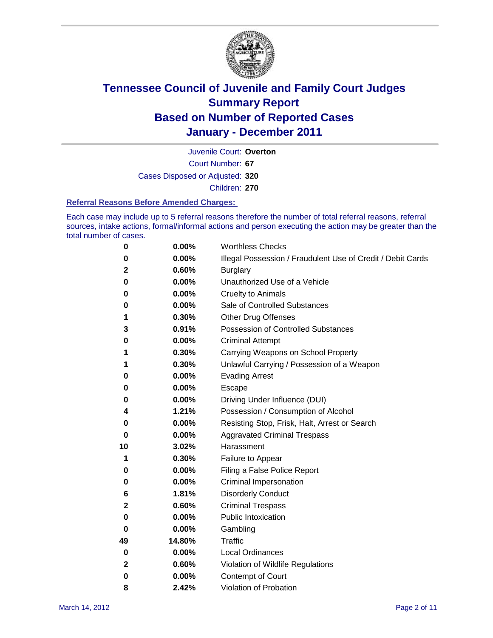

Court Number: **67** Juvenile Court: **Overton** Cases Disposed or Adjusted: **320** Children: **270**

#### **Referral Reasons Before Amended Charges:**

Each case may include up to 5 referral reasons therefore the number of total referral reasons, referral sources, intake actions, formal/informal actions and person executing the action may be greater than the total number of cases.

| 0            | 0.00%  | <b>Worthless Checks</b>                                     |
|--------------|--------|-------------------------------------------------------------|
| 0            | 0.00%  | Illegal Possession / Fraudulent Use of Credit / Debit Cards |
| 2            | 0.60%  | <b>Burglary</b>                                             |
| 0            | 0.00%  | Unauthorized Use of a Vehicle                               |
| 0            | 0.00%  | <b>Cruelty to Animals</b>                                   |
| 0            | 0.00%  | Sale of Controlled Substances                               |
| 1            | 0.30%  | <b>Other Drug Offenses</b>                                  |
| 3            | 0.91%  | <b>Possession of Controlled Substances</b>                  |
| 0            | 0.00%  | <b>Criminal Attempt</b>                                     |
| 1            | 0.30%  | Carrying Weapons on School Property                         |
| 1            | 0.30%  | Unlawful Carrying / Possession of a Weapon                  |
| 0            | 0.00%  | <b>Evading Arrest</b>                                       |
| 0            | 0.00%  | Escape                                                      |
| 0            | 0.00%  | Driving Under Influence (DUI)                               |
| 4            | 1.21%  | Possession / Consumption of Alcohol                         |
| 0            | 0.00%  | Resisting Stop, Frisk, Halt, Arrest or Search               |
| 0            | 0.00%  | <b>Aggravated Criminal Trespass</b>                         |
| 10           | 3.02%  | Harassment                                                  |
| 1            | 0.30%  | Failure to Appear                                           |
| 0            | 0.00%  | Filing a False Police Report                                |
| 0            | 0.00%  | Criminal Impersonation                                      |
| 6            | 1.81%  | <b>Disorderly Conduct</b>                                   |
| 2            | 0.60%  | <b>Criminal Trespass</b>                                    |
| 0            | 0.00%  | <b>Public Intoxication</b>                                  |
| 0            | 0.00%  | Gambling                                                    |
| 49           | 14.80% | <b>Traffic</b>                                              |
| 0            | 0.00%  | <b>Local Ordinances</b>                                     |
| $\mathbf{2}$ | 0.60%  | Violation of Wildlife Regulations                           |
| 0            | 0.00%  | Contempt of Court                                           |
| 8            | 2.42%  | Violation of Probation                                      |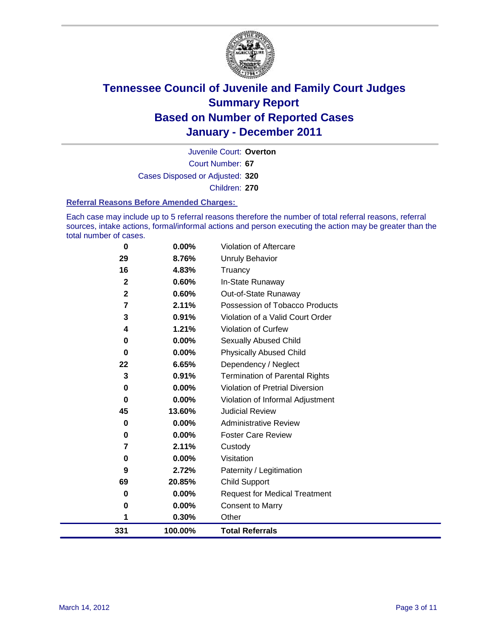

Court Number: **67** Juvenile Court: **Overton** Cases Disposed or Adjusted: **320** Children: **270**

### **Referral Reasons Before Amended Charges:**

Each case may include up to 5 referral reasons therefore the number of total referral reasons, referral sources, intake actions, formal/informal actions and person executing the action may be greater than the total number of cases.

| 0            | 0.00%    | Violation of Aftercare                 |
|--------------|----------|----------------------------------------|
| 29           | 8.76%    | <b>Unruly Behavior</b>                 |
| 16           | 4.83%    | Truancy                                |
| $\mathbf{2}$ | 0.60%    | In-State Runaway                       |
| $\mathbf 2$  | 0.60%    | Out-of-State Runaway                   |
| 7            | 2.11%    | Possession of Tobacco Products         |
| 3            | 0.91%    | Violation of a Valid Court Order       |
| 4            | 1.21%    | Violation of Curfew                    |
| 0            | 0.00%    | Sexually Abused Child                  |
| $\bf{0}$     | 0.00%    | <b>Physically Abused Child</b>         |
| 22           | 6.65%    | Dependency / Neglect                   |
| 3            | 0.91%    | <b>Termination of Parental Rights</b>  |
| 0            | $0.00\%$ | <b>Violation of Pretrial Diversion</b> |
| 0            | 0.00%    | Violation of Informal Adjustment       |
| 45           | 13.60%   | <b>Judicial Review</b>                 |
| 0            | $0.00\%$ | <b>Administrative Review</b>           |
| 0            | $0.00\%$ | <b>Foster Care Review</b>              |
| 7            | 2.11%    | Custody                                |
| 0            | $0.00\%$ | Visitation                             |
| 9            | 2.72%    | Paternity / Legitimation               |
| 69           | 20.85%   | <b>Child Support</b>                   |
| 0            | $0.00\%$ | <b>Request for Medical Treatment</b>   |
| 0            | 0.00%    | <b>Consent to Marry</b>                |
| 1            | 0.30%    | Other                                  |
| 331          | 100.00%  | <b>Total Referrals</b>                 |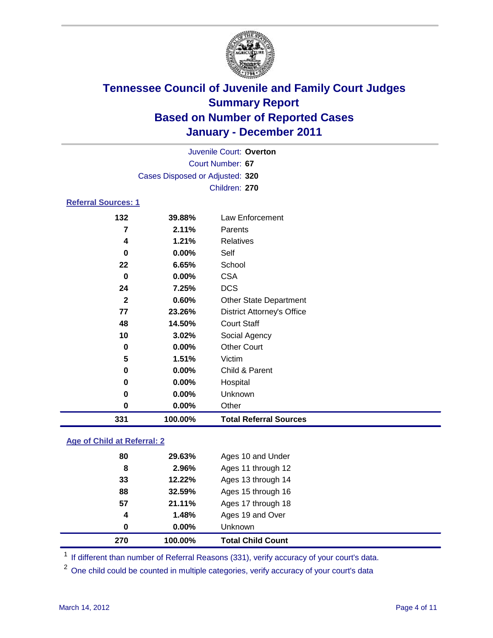

| Juvenile Court: Overton    |                                 |                                   |  |  |  |
|----------------------------|---------------------------------|-----------------------------------|--|--|--|
| Court Number: 67           |                                 |                                   |  |  |  |
|                            | Cases Disposed or Adjusted: 320 |                                   |  |  |  |
|                            |                                 | Children: 270                     |  |  |  |
| <b>Referral Sources: 1</b> |                                 |                                   |  |  |  |
| 132                        | 39.88%                          | Law Enforcement                   |  |  |  |
| 7                          | 2.11%                           | Parents                           |  |  |  |
| 4                          | 1.21%                           | <b>Relatives</b>                  |  |  |  |
| 0                          | $0.00\%$                        | Self                              |  |  |  |
| 22                         | 6.65%                           | School                            |  |  |  |
| $\bf{0}$                   | 0.00%                           | <b>CSA</b>                        |  |  |  |
| 24                         | 7.25%                           | <b>DCS</b>                        |  |  |  |
| $\mathbf{2}$               | 0.60%                           | <b>Other State Department</b>     |  |  |  |
| 77                         | 23.26%                          | <b>District Attorney's Office</b> |  |  |  |
| 48                         | 14.50%                          | <b>Court Staff</b>                |  |  |  |
| 10                         | 3.02%                           | Social Agency                     |  |  |  |
| 0                          | $0.00\%$                        | <b>Other Court</b>                |  |  |  |
| 5                          | 1.51%                           | Victim                            |  |  |  |
| 0                          | $0.00\%$                        | Child & Parent                    |  |  |  |
| 0                          | $0.00\%$                        | Hospital                          |  |  |  |
| 0                          | $0.00\%$                        | Unknown                           |  |  |  |
| 0                          | 0.00%                           | Other                             |  |  |  |

### **Age of Child at Referral: 2**

| 270 | 100.00% | <b>Total Child Count</b> |  |
|-----|---------|--------------------------|--|
| 0   | 0.00%   | Unknown                  |  |
| 4   | 1.48%   | Ages 19 and Over         |  |
| 57  | 21.11%  | Ages 17 through 18       |  |
| 88  | 32.59%  | Ages 15 through 16       |  |
| 33  | 12.22%  | Ages 13 through 14       |  |
| 8   | 2.96%   | Ages 11 through 12       |  |
| 80  | 29.63%  | Ages 10 and Under        |  |
|     |         |                          |  |

<sup>1</sup> If different than number of Referral Reasons (331), verify accuracy of your court's data.

**100.00% Total Referral Sources**

<sup>2</sup> One child could be counted in multiple categories, verify accuracy of your court's data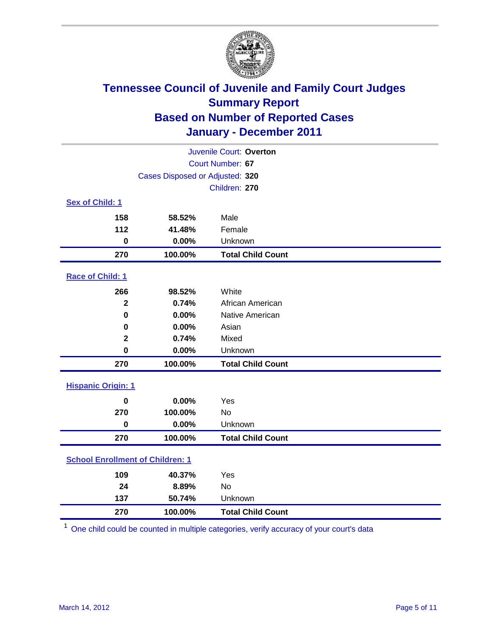

| Juvenile Court: Overton                 |                                 |                          |  |  |
|-----------------------------------------|---------------------------------|--------------------------|--|--|
| Court Number: 67                        |                                 |                          |  |  |
|                                         | Cases Disposed or Adjusted: 320 |                          |  |  |
|                                         |                                 | Children: 270            |  |  |
| Sex of Child: 1                         |                                 |                          |  |  |
| 158                                     | 58.52%                          | Male                     |  |  |
| 112                                     | 41.48%                          | Female                   |  |  |
| $\mathbf 0$                             | 0.00%                           | Unknown                  |  |  |
| 270                                     | 100.00%                         | <b>Total Child Count</b> |  |  |
| Race of Child: 1                        |                                 |                          |  |  |
| 266                                     | 98.52%                          | White                    |  |  |
| $\mathbf{2}$                            | 0.74%                           | African American         |  |  |
| $\mathbf 0$                             | 0.00%                           | Native American          |  |  |
| 0                                       | 0.00%                           | Asian                    |  |  |
| $\mathbf 2$                             | 0.74%                           | Mixed                    |  |  |
| $\mathbf 0$                             | 0.00%                           | Unknown                  |  |  |
| 270                                     | 100.00%                         | <b>Total Child Count</b> |  |  |
| <b>Hispanic Origin: 1</b>               |                                 |                          |  |  |
| $\bf{0}$                                | 0.00%                           | Yes                      |  |  |
| 270                                     | 100.00%                         | No                       |  |  |
| $\mathbf 0$                             | 0.00%                           | Unknown                  |  |  |
| 270                                     | 100.00%                         | <b>Total Child Count</b> |  |  |
| <b>School Enrollment of Children: 1</b> |                                 |                          |  |  |
| 109                                     | 40.37%                          | Yes                      |  |  |
| 24                                      | 8.89%                           | No                       |  |  |
| 137                                     | 50.74%                          | Unknown                  |  |  |
| 270                                     | 100.00%                         | <b>Total Child Count</b> |  |  |

One child could be counted in multiple categories, verify accuracy of your court's data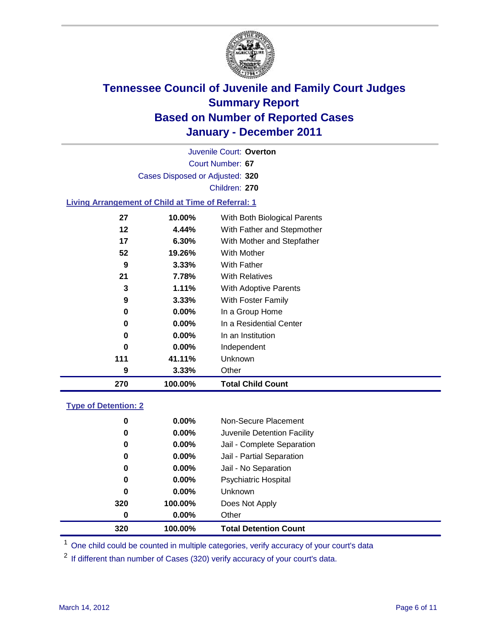

Court Number: **67** Juvenile Court: **Overton** Cases Disposed or Adjusted: **320** Children: **270**

### **Living Arrangement of Child at Time of Referral: 1**

| 270 | 100.00%  | <b>Total Child Count</b>     |
|-----|----------|------------------------------|
| 9   | 3.33%    | Other                        |
| 111 | 41.11%   | <b>Unknown</b>               |
| 0   | $0.00\%$ | Independent                  |
| 0   | $0.00\%$ | In an Institution            |
| 0   | $0.00\%$ | In a Residential Center      |
| 0   | $0.00\%$ | In a Group Home              |
| 9   | $3.33\%$ | With Foster Family           |
| 3   | 1.11%    | With Adoptive Parents        |
| 21  | 7.78%    | <b>With Relatives</b>        |
| 9   | $3.33\%$ | With Father                  |
| 52  | 19.26%   | With Mother                  |
| 17  | $6.30\%$ | With Mother and Stepfather   |
| 12  | 4.44%    | With Father and Stepmother   |
| 27  | 10.00%   | With Both Biological Parents |
|     |          |                              |

### **Type of Detention: 2**

| 320      | 100.00%  | <b>Total Detention Count</b> |  |
|----------|----------|------------------------------|--|
| 0        | $0.00\%$ | Other                        |  |
| 320      | 100.00%  | Does Not Apply               |  |
| 0        | $0.00\%$ | Unknown                      |  |
| 0        | 0.00%    | <b>Psychiatric Hospital</b>  |  |
| $\bf{0}$ | 0.00%    | Jail - No Separation         |  |
| 0        | $0.00\%$ | Jail - Partial Separation    |  |
| 0        | $0.00\%$ | Jail - Complete Separation   |  |
| 0        | 0.00%    | Juvenile Detention Facility  |  |
| 0        | $0.00\%$ | Non-Secure Placement         |  |
|          |          |                              |  |

<sup>1</sup> One child could be counted in multiple categories, verify accuracy of your court's data

<sup>2</sup> If different than number of Cases (320) verify accuracy of your court's data.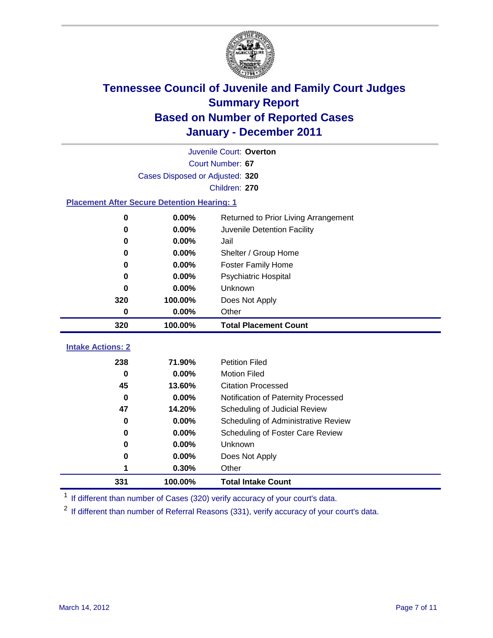

|                                                    | Juvenile Court: Overton         |                                      |  |  |  |
|----------------------------------------------------|---------------------------------|--------------------------------------|--|--|--|
|                                                    | Court Number: 67                |                                      |  |  |  |
|                                                    | Cases Disposed or Adjusted: 320 |                                      |  |  |  |
|                                                    | Children: 270                   |                                      |  |  |  |
| <b>Placement After Secure Detention Hearing: 1</b> |                                 |                                      |  |  |  |
| 0                                                  | 0.00%                           | Returned to Prior Living Arrangement |  |  |  |
| $\bf{0}$                                           | 0.00%                           | Juvenile Detention Facility          |  |  |  |
| 0                                                  | 0.00%                           | Jail                                 |  |  |  |
| $\bf{0}$                                           | 0.00%                           | Shelter / Group Home                 |  |  |  |
| 0                                                  | 0.00%                           | <b>Foster Family Home</b>            |  |  |  |
| 0                                                  | 0.00%                           | <b>Psychiatric Hospital</b>          |  |  |  |
| 0                                                  | 0.00%                           | Unknown                              |  |  |  |
| 320                                                | 100.00%                         | Does Not Apply                       |  |  |  |
| $\pmb{0}$                                          | 0.00%                           | Other                                |  |  |  |
| 320                                                | 100.00%                         | <b>Total Placement Count</b>         |  |  |  |
|                                                    |                                 |                                      |  |  |  |
| <b>Intake Actions: 2</b>                           |                                 |                                      |  |  |  |
| 238                                                | 71.90%                          | <b>Petition Filed</b>                |  |  |  |
| $\bf{0}$                                           | 0.00%                           | <b>Motion Filed</b>                  |  |  |  |
| 45                                                 | 13.60%                          | <b>Citation Processed</b>            |  |  |  |
| $\bf{0}$                                           | 0.00%                           | Notification of Paternity Processed  |  |  |  |
| 47                                                 | 14.20%                          | Scheduling of Judicial Review        |  |  |  |
| 0                                                  | 0.00%                           | Scheduling of Administrative Review  |  |  |  |
| 0                                                  | 0.00%                           | Scheduling of Foster Care Review     |  |  |  |
| $\bf{0}$                                           | 0.00%                           | Unknown                              |  |  |  |
| 0                                                  | 0.00%                           | Does Not Apply                       |  |  |  |
| 1                                                  | 0.30%                           | Other                                |  |  |  |
| 331                                                | 100.00%                         | <b>Total Intake Count</b>            |  |  |  |

<sup>1</sup> If different than number of Cases (320) verify accuracy of your court's data.

<sup>2</sup> If different than number of Referral Reasons (331), verify accuracy of your court's data.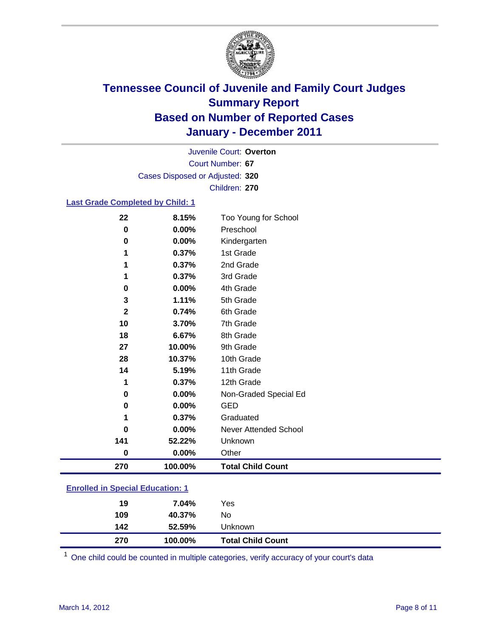

Court Number: **67** Juvenile Court: **Overton** Cases Disposed or Adjusted: **320** Children: **270**

### **Last Grade Completed by Child: 1**

| 22                                      | 8.15%   | Too Young for School         |  |
|-----------------------------------------|---------|------------------------------|--|
| 0                                       | 0.00%   | Preschool                    |  |
| 0                                       | 0.00%   | Kindergarten                 |  |
| 1                                       | 0.37%   | 1st Grade                    |  |
| 1                                       | 0.37%   | 2nd Grade                    |  |
| 1                                       | 0.37%   | 3rd Grade                    |  |
| 0                                       | 0.00%   | 4th Grade                    |  |
| 3                                       | 1.11%   | 5th Grade                    |  |
| $\mathbf{2}$                            | 0.74%   | 6th Grade                    |  |
| 10                                      | 3.70%   | 7th Grade                    |  |
| 18                                      | 6.67%   | 8th Grade                    |  |
| 27                                      | 10.00%  | 9th Grade                    |  |
| 28                                      | 10.37%  | 10th Grade                   |  |
| 14                                      | 5.19%   | 11th Grade                   |  |
| 1                                       | 0.37%   | 12th Grade                   |  |
| 0                                       | 0.00%   | Non-Graded Special Ed        |  |
| $\pmb{0}$                               | 0.00%   | <b>GED</b>                   |  |
| 1                                       | 0.37%   | Graduated                    |  |
| 0                                       | 0.00%   | <b>Never Attended School</b> |  |
| 141                                     | 52.22%  | Unknown                      |  |
| 0                                       | 0.00%   | Other                        |  |
| 270                                     | 100.00% | <b>Total Child Count</b>     |  |
| <b>Enrolled in Special Education: 1</b> |         |                              |  |

| 270                                     | 100.00% | <b>Total Child Count</b> |  |  |
|-----------------------------------------|---------|--------------------------|--|--|
| 142                                     | 52.59%  | Unknown                  |  |  |
| 109                                     | 40.37%  | No                       |  |  |
| 19                                      | 7.04%   | Yes                      |  |  |
| $\mathbf{r}$ viiva  opponal Eauvaliviii |         |                          |  |  |

One child could be counted in multiple categories, verify accuracy of your court's data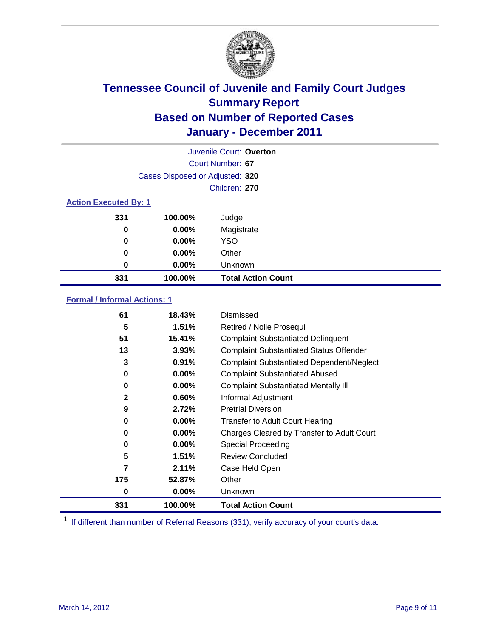

|                              | Juvenile Court: Overton         |                           |  |  |
|------------------------------|---------------------------------|---------------------------|--|--|
|                              | Court Number: 67                |                           |  |  |
|                              | Cases Disposed or Adjusted: 320 |                           |  |  |
|                              | Children: 270                   |                           |  |  |
| <b>Action Executed By: 1</b> |                                 |                           |  |  |
| 331                          | 100.00%                         | Judge                     |  |  |
| 0                            | $0.00\%$                        | Magistrate                |  |  |
| 0                            | $0.00\%$                        | <b>YSO</b>                |  |  |
| 0                            | $0.00\%$                        | Other                     |  |  |
| 0                            | 0.00%                           | Unknown                   |  |  |
| 331                          | 100.00%                         | <b>Total Action Count</b> |  |  |

### **Formal / Informal Actions: 1**

| 61           | 18.43%   | Dismissed                                        |
|--------------|----------|--------------------------------------------------|
| 5            | 1.51%    | Retired / Nolle Prosequi                         |
| 51           | 15.41%   | <b>Complaint Substantiated Delinquent</b>        |
| 13           | 3.93%    | <b>Complaint Substantiated Status Offender</b>   |
| 3            | 0.91%    | <b>Complaint Substantiated Dependent/Neglect</b> |
| 0            | $0.00\%$ | <b>Complaint Substantiated Abused</b>            |
| 0            | $0.00\%$ | <b>Complaint Substantiated Mentally III</b>      |
| $\mathbf{2}$ | 0.60%    | Informal Adjustment                              |
| 9            | 2.72%    | <b>Pretrial Diversion</b>                        |
| 0            | $0.00\%$ | <b>Transfer to Adult Court Hearing</b>           |
| 0            | $0.00\%$ | Charges Cleared by Transfer to Adult Court       |
| 0            | $0.00\%$ | Special Proceeding                               |
| 5            | 1.51%    | <b>Review Concluded</b>                          |
| 7            | 2.11%    | Case Held Open                                   |
| 175          | 52.87%   | Other                                            |
| 0            | $0.00\%$ | Unknown                                          |
| 331          | 100.00%  | <b>Total Action Count</b>                        |

<sup>1</sup> If different than number of Referral Reasons (331), verify accuracy of your court's data.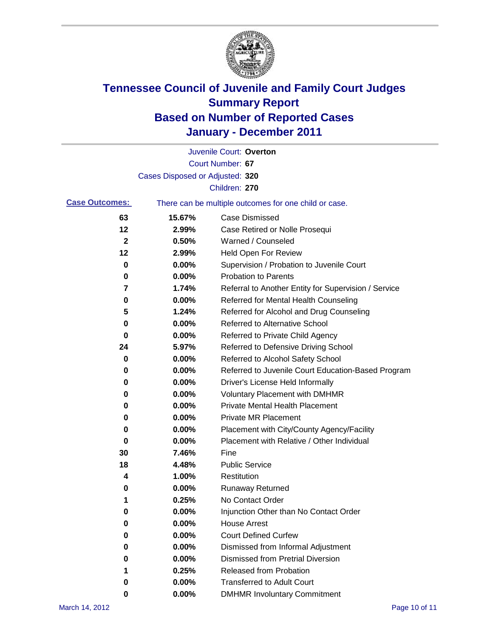

|                       |                                 | Juvenile Court: Overton                               |
|-----------------------|---------------------------------|-------------------------------------------------------|
|                       |                                 | Court Number: 67                                      |
|                       | Cases Disposed or Adjusted: 320 |                                                       |
|                       |                                 | Children: 270                                         |
| <b>Case Outcomes:</b> |                                 | There can be multiple outcomes for one child or case. |
| 63                    | 15.67%                          | <b>Case Dismissed</b>                                 |
| 12                    | 2.99%                           | Case Retired or Nolle Prosequi                        |
| $\mathbf{2}$          | 0.50%                           | Warned / Counseled                                    |
| 12                    | 2.99%                           | Held Open For Review                                  |
| 0                     | 0.00%                           | Supervision / Probation to Juvenile Court             |
| 0                     | 0.00%                           | <b>Probation to Parents</b>                           |
| 7                     | 1.74%                           | Referral to Another Entity for Supervision / Service  |
| 0                     | 0.00%                           | Referred for Mental Health Counseling                 |
| 5                     | 1.24%                           | Referred for Alcohol and Drug Counseling              |
| 0                     | 0.00%                           | Referred to Alternative School                        |
| 0                     | 0.00%                           | Referred to Private Child Agency                      |
| 24                    | 5.97%                           | Referred to Defensive Driving School                  |
| 0                     | 0.00%                           | Referred to Alcohol Safety School                     |
| 0                     | 0.00%                           | Referred to Juvenile Court Education-Based Program    |
| 0                     | 0.00%                           | Driver's License Held Informally                      |
| 0                     | 0.00%                           | <b>Voluntary Placement with DMHMR</b>                 |
| 0                     | 0.00%                           | <b>Private Mental Health Placement</b>                |
| 0                     | 0.00%                           | <b>Private MR Placement</b>                           |
| 0                     | 0.00%                           | Placement with City/County Agency/Facility            |
| 0                     | 0.00%                           | Placement with Relative / Other Individual            |
| 30                    | 7.46%                           | Fine                                                  |
| 18                    | 4.48%                           | <b>Public Service</b>                                 |
| 4                     | 1.00%                           | Restitution                                           |
| 0                     | 0.00%                           | <b>Runaway Returned</b>                               |
| 1                     | 0.25%                           | No Contact Order                                      |
| 0                     | 0.00%                           | Injunction Other than No Contact Order                |
| 0                     | 0.00%                           | <b>House Arrest</b>                                   |
| 0                     | 0.00%                           | <b>Court Defined Curfew</b>                           |
| 0                     | 0.00%                           | Dismissed from Informal Adjustment                    |
| 0                     | $0.00\%$                        | <b>Dismissed from Pretrial Diversion</b>              |
| 1                     | 0.25%                           | Released from Probation                               |
| 0                     | $0.00\%$                        | <b>Transferred to Adult Court</b>                     |
| 0                     | 0.00%                           | <b>DMHMR Involuntary Commitment</b>                   |